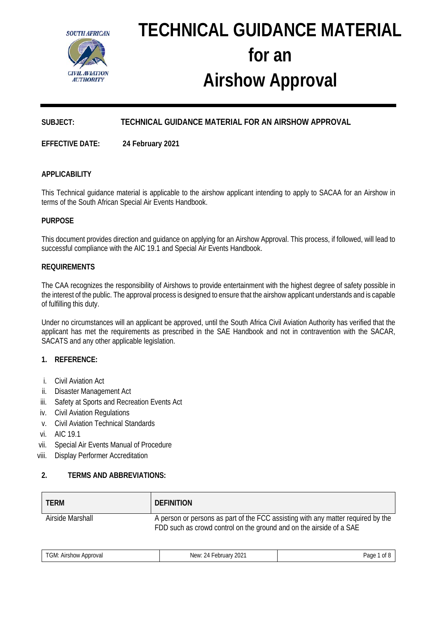

# **TECHNICAL GUIDANCE MATERIAL for an Airshow Approval**

# **SUBJECT: TECHNICAL GUIDANCE MATERIAL FOR AN AIRSHOW APPROVAL**

**EFFECTIVE DATE: 24 February 2021**

# **APPLICABILITY**

This Technical guidance material is applicable to the airshow applicant intending to apply to SACAA for an Airshow in terms of the South African Special Air Events Handbook.

# **PURPOSE**

This document provides direction and guidance on applying for an Airshow Approval. This process, if followed, will lead to successful compliance with the AIC 19.1 and Special Air Events Handbook.

#### **REQUIREMENTS**

The CAA recognizes the responsibility of Airshows to provide entertainment with the highest degree of safety possible in the interest of the public. The approval process is designed to ensure that the airshow applicant understands and is capable of fulfilling this duty.

Under no circumstances will an applicant be approved, until the South Africa Civil Aviation Authority has verified that the applicant has met the requirements as prescribed in the SAE Handbook and not in contravention with the SACAR, SACATS and any other applicable legislation.

## **1. REFERENCE:**

- i. Civil Aviation Act
- ii. Disaster Management Act
- iii. Safety at Sports and Recreation Events Act
- iv. Civil Aviation Regulations
- v. Civil Aviation Technical Standards
- vi. AIC 19.1
- vii. Special Air Events Manual of Procedure
- viii. Display Performer Accreditation

#### **2. TERMS AND ABBREVIATIONS:**

| <b>TERM</b>      | <b>DEFINITION</b>                                                                                                                                       |
|------------------|---------------------------------------------------------------------------------------------------------------------------------------------------------|
| Airside Marshall | A person or persons as part of the FCC assisting with any matter required by the<br>FDD such as crowd control on the ground and on the airside of a SAE |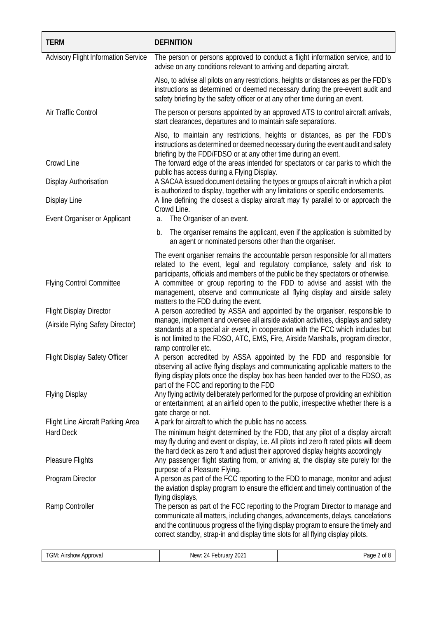| <b>TERM</b>                                | <b>DEFINITION</b>                                                                                                                                                                                                                                                                                                                                            |                                                                              |
|--------------------------------------------|--------------------------------------------------------------------------------------------------------------------------------------------------------------------------------------------------------------------------------------------------------------------------------------------------------------------------------------------------------------|------------------------------------------------------------------------------|
| <b>Advisory Flight Information Service</b> | The person or persons approved to conduct a flight information service, and to<br>advise on any conditions relevant to arriving and departing aircraft.                                                                                                                                                                                                      |                                                                              |
|                                            | Also, to advise all pilots on any restrictions, heights or distances as per the FDD's<br>instructions as determined or deemed necessary during the pre-event audit and<br>safety briefing by the safety officer or at any other time during an event.                                                                                                        |                                                                              |
| Air Traffic Control                        | The person or persons appointed by an approved ATS to control aircraft arrivals,<br>start clearances, departures and to maintain safe separations.                                                                                                                                                                                                           |                                                                              |
|                                            | Also, to maintain any restrictions, heights or distances, as per the FDD's<br>instructions as determined or deemed necessary during the event audit and safety<br>briefing by the FDD/FDSO or at any other time during an event.                                                                                                                             |                                                                              |
| Crowd Line                                 | The forward edge of the areas intended for spectators or car parks to which the<br>public has access during a Flying Display.                                                                                                                                                                                                                                |                                                                              |
| Display Authorisation                      | A SACAA issued document detailing the types or groups of aircraft in which a pilot<br>is authorized to display, together with any limitations or specific endorsements.                                                                                                                                                                                      |                                                                              |
| <b>Display Line</b>                        | A line defining the closest a display aircraft may fly parallel to or approach the<br>Crowd Line.                                                                                                                                                                                                                                                            |                                                                              |
| Event Organiser or Applicant               | The Organiser of an event.<br>a.                                                                                                                                                                                                                                                                                                                             |                                                                              |
|                                            | b.<br>an agent or nominated persons other than the organiser.                                                                                                                                                                                                                                                                                                | The organiser remains the applicant, even if the application is submitted by |
|                                            | The event organiser remains the accountable person responsible for all matters<br>related to the event, legal and regulatory compliance, safety and risk to<br>participants, officials and members of the public be they spectators or otherwise.                                                                                                            |                                                                              |
| <b>Flying Control Committee</b>            | A committee or group reporting to the FDD to advise and assist with the<br>management, observe and communicate all flying display and airside safety<br>matters to the FDD during the event.                                                                                                                                                                 |                                                                              |
| <b>Flight Display Director</b>             | A person accredited by ASSA and appointed by the organiser, responsible to                                                                                                                                                                                                                                                                                   |                                                                              |
| (Airside Flying Safety Director)           | manage, implement and oversee all airside aviation activities, displays and safety<br>standards at a special air event, in cooperation with the FCC which includes but<br>is not limited to the FDSO, ATC, EMS, Fire, Airside Marshalls, program director,<br>ramp controller etc.                                                                           |                                                                              |
| <b>Flight Display Safety Officer</b>       | A person accredited by ASSA appointed by the FDD and responsible for<br>observing all active flying displays and communicating applicable matters to the<br>flying display pilots once the display box has been handed over to the FDSO, as<br>part of the FCC and reporting to the FDD                                                                      |                                                                              |
| <b>Flying Display</b>                      | Any flying activity deliberately performed for the purpose of providing an exhibition<br>or entertainment, at an airfield open to the public, irrespective whether there is a<br>gate charge or not.                                                                                                                                                         |                                                                              |
| Flight Line Aircraft Parking Area          | A park for aircraft to which the public has no access.                                                                                                                                                                                                                                                                                                       |                                                                              |
| <b>Hard Deck</b>                           | The minimum height determined by the FDD, that any pilot of a display aircraft<br>may fly during and event or display, i.e. All pilots incl zero ft rated pilots will deem                                                                                                                                                                                   |                                                                              |
| <b>Pleasure Flights</b>                    | the hard deck as zero ft and adjust their approved display heights accordingly<br>Any passenger flight starting from, or arriving at, the display site purely for the<br>purpose of a Pleasure Flying.                                                                                                                                                       |                                                                              |
| Program Director                           | A person as part of the FCC reporting to the FDD to manage, monitor and adjust<br>the aviation display program to ensure the efficient and timely continuation of the                                                                                                                                                                                        |                                                                              |
| Ramp Controller                            | flying displays,<br>The person as part of the FCC reporting to the Program Director to manage and<br>communicate all matters, including changes, advancements, delays, cancelations<br>and the continuous progress of the flying display program to ensure the timely and<br>correct standby, strap-in and display time slots for all flying display pilots. |                                                                              |
| TGM: Airshow Approval                      | New: 24 February 2021                                                                                                                                                                                                                                                                                                                                        | Page 2 of 8                                                                  |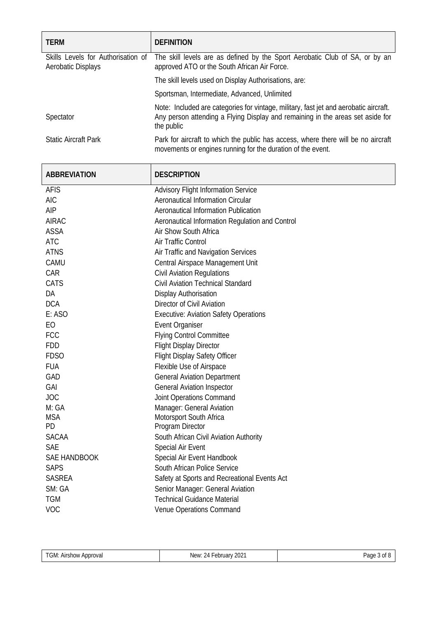| <b>TERM</b>                                              | <b>DEFINITION</b>                                                                                                                                                                     |  |
|----------------------------------------------------------|---------------------------------------------------------------------------------------------------------------------------------------------------------------------------------------|--|
| Skills Levels for Authorisation of<br>Aerobatic Displays | The skill levels are as defined by the Sport Aerobatic Club of SA, or by an<br>approved ATO or the South African Air Force.                                                           |  |
|                                                          | The skill levels used on Display Authorisations, are:                                                                                                                                 |  |
|                                                          | Sportsman, Intermediate, Advanced, Unlimited                                                                                                                                          |  |
| Spectator                                                | Note: Included are categories for vintage, military, fast jet and aerobatic aircraft.<br>Any person attending a Flying Display and remaining in the areas set aside for<br>the public |  |
| <b>Static Aircraft Park</b>                              | Park for aircraft to which the public has access, where there will be no aircraft<br>movements or engines running for the duration of the event.                                      |  |

| <b>ABBREVIATION</b> | <b>DESCRIPTION</b>                              |
|---------------------|-------------------------------------------------|
| <b>AFIS</b>         | <b>Advisory Flight Information Service</b>      |
| <b>AIC</b>          | <b>Aeronautical Information Circular</b>        |
| AIP                 | <b>Aeronautical Information Publication</b>     |
| <b>AIRAC</b>        | Aeronautical Information Regulation and Control |
| <b>ASSA</b>         | Air Show South Africa                           |
| <b>ATC</b>          | Air Traffic Control                             |
| <b>ATNS</b>         | Air Traffic and Navigation Services             |
| CAMU                | Central Airspace Management Unit                |
| CAR                 | Civil Aviation Regulations                      |
| CATS                | Civil Aviation Technical Standard               |
| DA                  | <b>Display Authorisation</b>                    |
| <b>DCA</b>          | Director of Civil Aviation                      |
| E: ASO              | <b>Executive: Aviation Safety Operations</b>    |
| EO                  | <b>Event Organiser</b>                          |
| <b>FCC</b>          | <b>Flying Control Committee</b>                 |
| <b>FDD</b>          | <b>Flight Display Director</b>                  |
| <b>FDSO</b>         | Flight Display Safety Officer                   |
| <b>FUA</b>          | Flexible Use of Airspace                        |
| GAD                 | <b>General Aviation Department</b>              |
| GAI                 | <b>General Aviation Inspector</b>               |
| <b>JOC</b>          | Joint Operations Command                        |
| M: GA               | Manager: General Aviation                       |
| <b>MSA</b>          | Motorsport South Africa                         |
| PD                  | Program Director                                |
| <b>SACAA</b>        | South African Civil Aviation Authority          |
| <b>SAE</b>          | Special Air Event                               |
| <b>SAE HANDBOOK</b> | Special Air Event Handbook                      |
| <b>SAPS</b>         | South African Police Service                    |
| <b>SASREA</b>       | Safety at Sports and Recreational Events Act    |
| SM: GA              | Senior Manager: General Aviation                |
| <b>TGM</b>          | <b>Technical Guidance Material</b>              |
| VOC                 | Venue Operations Command                        |

| TGM:<br>Approval<br>. Airshow | $\overline{\phantom{0}}$<br>$202$ <sup>-</sup><br><b>February</b><br><b>New</b><br>Ά.<br><b>NCM</b><br>∸<br>_____<br>. | Pane<br>. Of<br>uuu<br>. . |
|-------------------------------|------------------------------------------------------------------------------------------------------------------------|----------------------------|
|                               |                                                                                                                        |                            |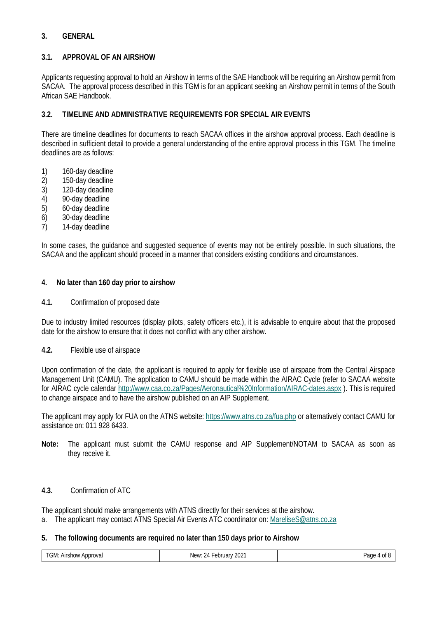# **3. GENERAL**

## **3.1. APPROVAL OF AN AIRSHOW**

Applicants requesting approval to hold an Airshow in terms of the SAE Handbook will be requiring an Airshow permit from SACAA. The approval process described in this TGM is for an applicant seeking an Airshow permit in terms of the South African SAE Handbook.

# **3.2. TIMELINE AND ADMINISTRATIVE REQUIREMENTS FOR SPECIAL AIR EVENTS**

There are timeline deadlines for documents to reach SACAA offices in the airshow approval process. Each deadline is described in sufficient detail to provide a general understanding of the entire approval process in this TGM. The timeline deadlines are as follows:

- 
- 1) 160-day deadline<br>2) 150-day deadline 2) 150-day deadline<br>3) 120-day deadline
- 
- 3) 120-day deadline<br>4) 90-day deadline 4) 90-day deadline
- 5) 60-day deadline
- 6) 30-day deadline
- 7) 14-day deadline

In some cases, the guidance and suggested sequence of events may not be entirely possible. In such situations, the SACAA and the applicant should proceed in a manner that considers existing conditions and circumstances.

#### **4. No later than 160 day prior to airshow**

**4.1.** Confirmation of proposed date

Due to industry limited resources (display pilots, safety officers etc.), it is advisable to enquire about that the proposed date for the airshow to ensure that it does not conflict with any other airshow.

**4.2.** Flexible use of airspace

Upon confirmation of the date, the applicant is required to apply for flexible use of airspace from the Central Airspace Management Unit (CAMU). The application to CAMU should be made within the AIRAC Cycle (refer to SACAA website for AIRAC cycle calendar<http://www.caa.co.za/Pages/Aeronautical%20Information/AIRAC-dates.aspx> ). This is required to change airspace and to have the airshow published on an AIP Supplement.

The applicant may apply for FUA on the ATNS website[: https://www.atns.co.za/fua.php](https://www.atns.co.za/fua.php) or alternatively contact CAMU for assistance on: 011 928 6433.

**Note:** The applicant must submit the CAMU response and AIP Supplement/NOTAM to SACAA as soon as they receive it.

## **4.3.** Confirmation of ATC

The applicant should make arrangements with ATNS directly for their services at the airshow.

a. The applicant may contact ATNS Special Air Events ATC coordinator on: [MareliseS@atns.co.za](mailto:MareliseS@atns.co.za)

## **5. The following documents are required no later than 150 days prior to Airshow**

| TGM: Airshow A.<br>Approval | 2021<br>. 24 February<br>New: | Page<br>0t |
|-----------------------------|-------------------------------|------------|
|-----------------------------|-------------------------------|------------|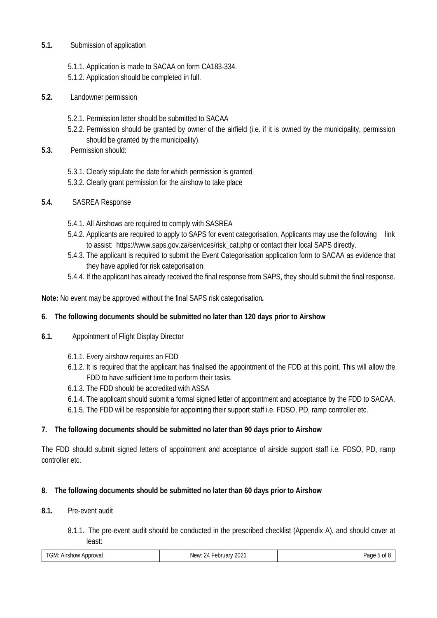- **5.1.** Submission of application
	- 5.1.1. Application is made to SACAA on form CA183-334.
	- 5.1.2. Application should be completed in full.
- **5.2.** Landowner permission
	- 5.2.1. Permission letter should be submitted to SACAA
	- 5.2.2. Permission should be granted by owner of the airfield (i.e. if it is owned by the municipality, permission should be granted by the municipality).
- **5.3.** Permission should:
	- 5.3.1. Clearly stipulate the date for which permission is granted
	- 5.3.2. Clearly grant permission for the airshow to take place
- **5.4.** SASREA Response
	- 5.4.1. All Airshows are required to comply with SASREA
	- 5.4.2. Applicants are required to apply to SAPS for event categorisation. Applicants may use the following link to assist: [https://www.saps.gov.za/services/risk\\_cat.php](https://www.saps.gov.za/services/risk_cat.php) or contact their local SAPS directly.
	- 5.4.3. The applicant is required to submit the Event Categorisation application form to SACAA as evidence that they have applied for risk categorisation.
	- 5.4.4. If the applicant has already received the final response from SAPS, they should submit the final response.

**Note:** No event may be approved without the final SAPS risk categorisation*.*

## **6. The following documents should be submitted no later than 120 days prior to Airshow**

- **6.1.** Appointment of Flight Display Director
	- 6.1.1. Every airshow requires an FDD
	- 6.1.2. It is required that the applicant has finalised the appointment of the FDD at this point. This will allow the FDD to have sufficient time to perform their tasks.
	- 6.1.3. The FDD should be accredited with ASSA
	- 6.1.4. The applicant should submit a formal signed letter of appointment and acceptance by the FDD to SACAA.
	- 6.1.5. The FDD will be responsible for appointing their support staff i.e. FDSO, PD, ramp controller etc.

## **7. The following documents should be submitted no later than 90 days prior to Airshow**

The FDD should submit signed letters of appointment and acceptance of airside support staff i.e. FDSO, PD, ramp controller etc.

#### **8. The following documents should be submitted no later than 60 days prior to Airshow**

#### **8.1.** Pre-event audit

8.1.1. The pre-event audit should be conducted in the prescribed checklist (Appendix A), and should cover at least:

| $\mathbf{u}$<br>$\ddot{\phantom{0}}$ | Approval<br>Airshow<br>UNI. | $202^{\degree}$<br>$\sum$<br>New <sup>.</sup><br>obr<br>1 M<br>71 | Page |
|--------------------------------------|-----------------------------|-------------------------------------------------------------------|------|
|--------------------------------------|-----------------------------|-------------------------------------------------------------------|------|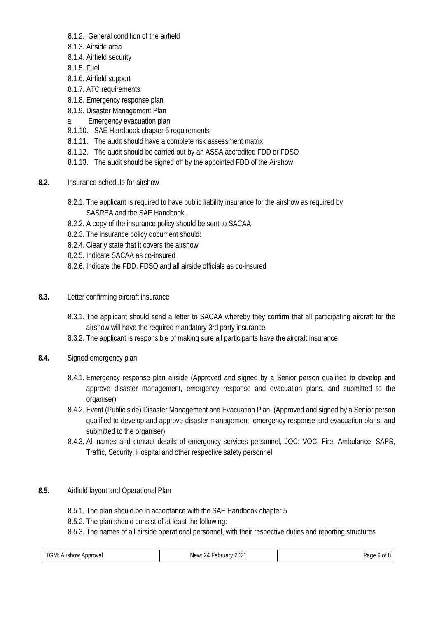- 8.1.2. General condition of the airfield
- 8.1.3. Airside area
- 8.1.4. Airfield security
- 8.1.5. Fuel
- 8.1.6. Airfield support
- 8.1.7. ATC requirements
- 8.1.8. Emergency response plan
- 8.1.9. Disaster Management Plan
- a. Emergency evacuation plan
- 8.1.10. SAE Handbook chapter 5 requirements
- 8.1.11. The audit should have a complete risk assessment matrix
- 8.1.12. The audit should be carried out by an ASSA accredited FDD or FDSO
- 8.1.13. The audit should be signed off by the appointed FDD of the Airshow.
- **8.2.** Insurance schedule for airshow
	- 8.2.1. The applicant is required to have public liability insurance for the airshow as required by SASREA and the SAE Handbook.
	- 8.2.2. A copy of the insurance policy should be sent to SACAA
	- 8.2.3. The insurance policy document should:
	- 8.2.4. Clearly state that it covers the airshow
	- 8.2.5. Indicate SACAA as co-insured
	- 8.2.6. Indicate the FDD, FDSO and all airside officials as co-insured
- **8.3.** Letter confirming aircraft insurance
	- 8.3.1. The applicant should send a letter to SACAA whereby they confirm that all participating aircraft for the airshow will have the required mandatory 3rd party insurance
	- 8.3.2. The applicant is responsible of making sure all participants have the aircraft insurance
- **8.4.** Signed emergency plan
	- 8.4.1. Emergency response plan airside (Approved and signed by a Senior person qualified to develop and approve disaster management, emergency response and evacuation plans, and submitted to the organiser)
	- 8.4.2. Event (Public side) Disaster Management and Evacuation Plan, (Approved and signed by a Senior person qualified to develop and approve disaster management, emergency response and evacuation plans, and submitted to the organiser)
	- 8.4.3. All names and contact details of emergency services personnel, JOC; VOC, Fire, Ambulance, SAPS, Traffic, Security, Hospital and other respective safety personnel.

## **8.5.** Airfield layout and Operational Plan

- 8.5.1. The plan should be in accordance with the SAE Handbook chapter 5
- 8.5.2. The plan should consist of at least the following:
- 8.5.3. The names of all airside operational personnel, with their respective duties and reporting structures

| TGM: Airshow,<br>Approval | 2021<br>New.<br>- Lebruary L<br>24 | age<br>UL O |
|---------------------------|------------------------------------|-------------|
|                           |                                    |             |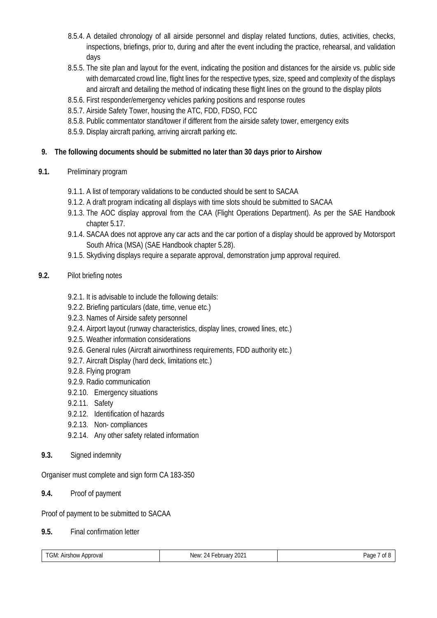- 8.5.4. A detailed chronology of all airside personnel and display related functions, duties, activities, checks, inspections, briefings, prior to, during and after the event including the practice, rehearsal, and validation days
- 8.5.5. The site plan and layout for the event, indicating the position and distances for the airside vs. public side with demarcated crowd line, flight lines for the respective types, size, speed and complexity of the displays and aircraft and detailing the method of indicating these flight lines on the ground to the display pilots
- 8.5.6. First responder/emergency vehicles parking positions and response routes
- 8.5.7. Airside Safety Tower, housing the ATC, FDD, FDSO, FCC
- 8.5.8. Public commentator stand/tower if different from the airside safety tower, emergency exits
- 8.5.9. Display aircraft parking, arriving aircraft parking etc.

# **9. The following documents should be submitted no later than 30 days prior to Airshow**

- **9.1.** Preliminary program
	- 9.1.1. A list of temporary validations to be conducted should be sent to SACAA
	- 9.1.2. A draft program indicating all displays with time slots should be submitted to SACAA
	- 9.1.3. The AOC display approval from the CAA (Flight Operations Department). As per the SAE Handbook chapter 5.17.
	- 9.1.4. SACAA does not approve any car acts and the car portion of a display should be approved by Motorsport South Africa (MSA) (SAE Handbook chapter 5.28).
	- 9.1.5. Skydiving displays require a separate approval, demonstration jump approval required.

# **9.2.** Pilot briefing notes

- 9.2.1. It is advisable to include the following details:
- 9.2.2. Briefing particulars (date, time, venue etc.)
- 9.2.3. Names of Airside safety personnel
- 9.2.4. Airport layout (runway characteristics, display lines, crowed lines, etc.)
- 9.2.5. Weather information considerations
- 9.2.6. General rules (Aircraft airworthiness requirements, FDD authority etc.)
- 9.2.7. Aircraft Display (hard deck, limitations etc.)
- 9.2.8. Flying program
- 9.2.9. Radio communication
- 9.2.10. Emergency situations
- 9.2.11. Safety
- 9.2.12. Identification of hazards
- 9.2.13. Non- compliances
- 9.2.14. Any other safety related information
- **9.3.** Signed indemnity

Organiser must complete and sign form CA 183-350

**9.4.** Proof of payment

Proof of payment to be submitted to SACAA

**9.5.** Final confirmation letter

| TGM:<br>. Airshow<br>Approval | $\overline{\phantom{0}}$<br>202 <sup>2</sup><br>∵ Februarv <sub>⊷</sub><br>New<br>, п<br>. | Page<br>0t |
|-------------------------------|--------------------------------------------------------------------------------------------|------------|
|                               |                                                                                            |            |